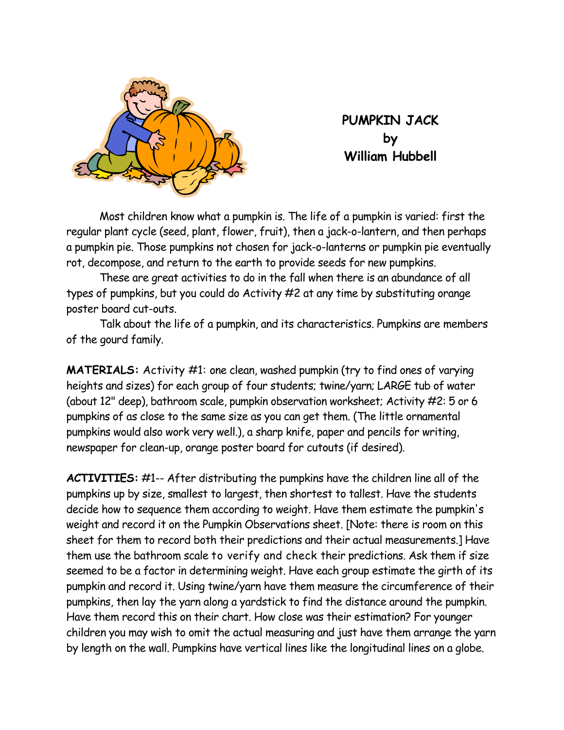

**PUMPKIN JACK by William Hubbell** 

 Most children know what a pumpkin is. The life of a pumpkin is varied: first the regular plant cycle (seed, plant, flower, fruit), then a jack-o-lantern, and then perhaps a pumpkin pie. Those pumpkins not chosen for jack-o-lanterns or pumpkin pie eventually rot, decompose, and return to the earth to provide seeds for new pumpkins.

 These are great activities to do in the fall when there is an abundance of all types of pumpkins, but you could do Activity #2 at any time by substituting orange poster board cut-outs.

Talk about the life of a pumpkin, and its characteristics. Pumpkins are members of the gourd family.

**MATERIALS:** Activity #1: one clean, washed pumpkin (try to find ones of varying heights and sizes) for each group of four students; twine/yarn; LARGE tub of water (about 12" deep), bathroom scale, pumpkin observation worksheet; Activity #2: 5 or 6 pumpkins of as close to the same size as you can get them. (The little ornamental pumpkins would also work very well.), a sharp knife, paper and pencils for writing, newspaper for clean-up, orange poster board for cutouts (if desired).

**ACTIVITIES:** #1-- After distributing the pumpkins have the children line all of the pumpkins up by size, smallest to largest, then shortest to tallest. Have the students decide how to sequence them according to weight. Have them estimate the pumpkin's weight and record it on the Pumpkin Observations sheet. [Note: there is room on this sheet for them to record both their predictions and their actual measurements.] Have them use the bathroom scale to verify and check their predictions. Ask them if size seemed to be a factor in determining weight. Have each group estimate the girth of its pumpkin and record it. Using twine/yarn have them measure the circumference of their pumpkins, then lay the yarn along a yardstick to find the distance around the pumpkin. Have them record this on their chart. How close was their estimation? For younger children you may wish to omit the actual measuring and just have them arrange the yarn by length on the wall. Pumpkins have vertical lines like the longitudinal lines on a globe.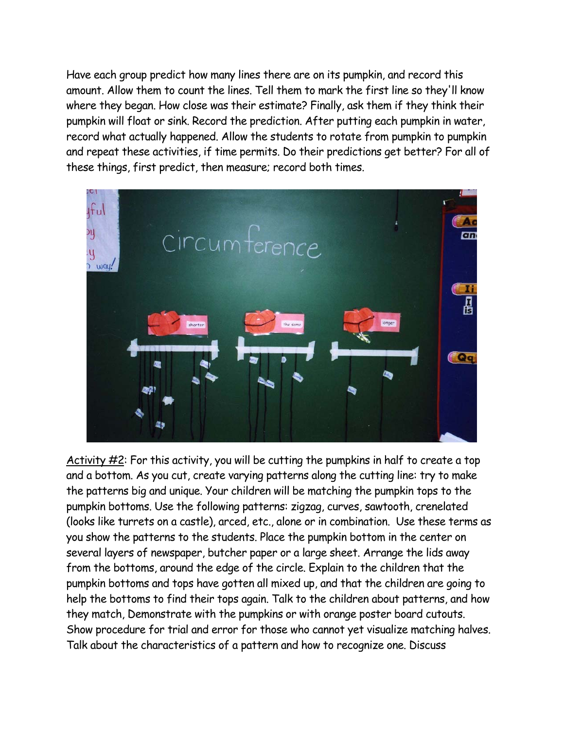Have each group predict how many lines there are on its pumpkin, and record this amount. Allow them to count the lines. Tell them to mark the first line so they'll know where they began. How close was their estimate? Finally, ask them if they think their pumpkin will float or sink. Record the prediction. After putting each pumpkin in water, record what actually happened. Allow the students to rotate from pumpkin to pumpkin and repeat these activities, if time permits. Do their predictions get better? For all of these things, first predict, then measure; record both times.



Activity  $\#2$ : For this activity, you will be cutting the pumpkins in half to create a top and a bottom. As you cut, create varying patterns along the cutting line: try to make the patterns big and unique. Your children will be matching the pumpkin tops to the pumpkin bottoms. Use the following patterns: zigzag, curves, sawtooth, crenelated (looks like turrets on a castle), arced, etc., alone or in combination. Use these terms as you show the patterns to the students. Place the pumpkin bottom in the center on several layers of newspaper, butcher paper or a large sheet. Arrange the lids away from the bottoms, around the edge of the circle. Explain to the children that the pumpkin bottoms and tops have gotten all mixed up, and that the children are going to help the bottoms to find their tops again. Talk to the children about patterns, and how they match, Demonstrate with the pumpkins or with orange poster board cutouts. Show procedure for trial and error for those who cannot yet visualize matching halves. Talk about the characteristics of a pattern and how to recognize one. Discuss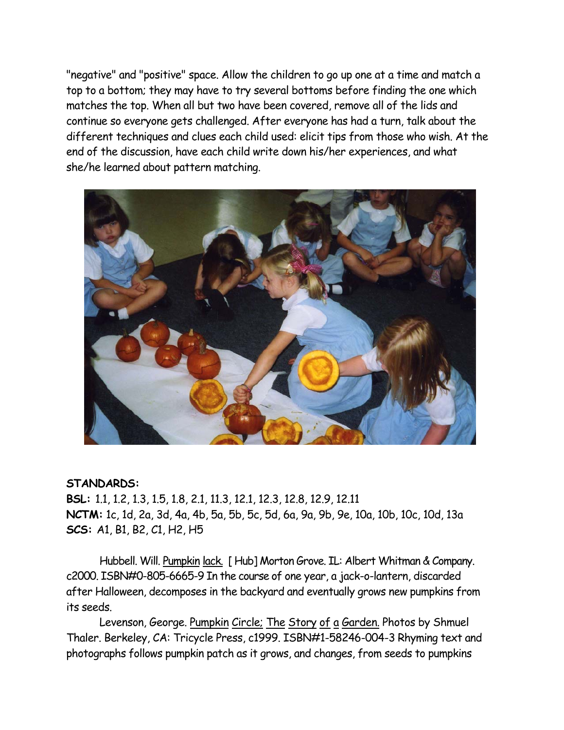"negative" and "positive" space. Allow the children to go up one at a time and match a top to a bottom; they may have to try several bottoms before finding the one which matches the top. When all but two have been covered, remove all of the lids and continue so everyone gets challenged. After everyone has had a turn, talk about the different techniques and clues each child used: elicit tips from those who wish. At the end of the discussion, have each child write down his/her experiences, and what she/he learned about pattern matching.



## **STANDARDS:**

**BSL:** 1.1, 1.2, 1.3, 1.5, 1.8, 2.1, 11.3, 12.1, 12.3, 12.8, 12.9, 12.11 **NCTM:** 1c, 1d, 2a, 3d, 4a, 4b, 5a, 5b, 5c, 5d, 6a, 9a, 9b, 9e, 10a, 10b, 10c, 10d, 13a **SCS:** A1, B1, B2, C1, H2, H5

Hubbell. Will. Pumpkin lack. [ Hub] Morton Grove. IL: Albert Whitman & Company. c2000. ISBN#0-805-6665-9 In the course of one year, a jack-o-lantern, discarded after Halloween, decomposes in the backyard and eventually grows new pumpkins from its seeds.

Levenson, George. Pumpkin Circle; The Story of a Garden. Photos by Shmuel Thaler. Berkeley, CA: Tricycle Press, c1999. ISBN#1-58246-004-3 Rhyming text and photographs follows pumpkin patch as it grows, and changes, from seeds to pumpkins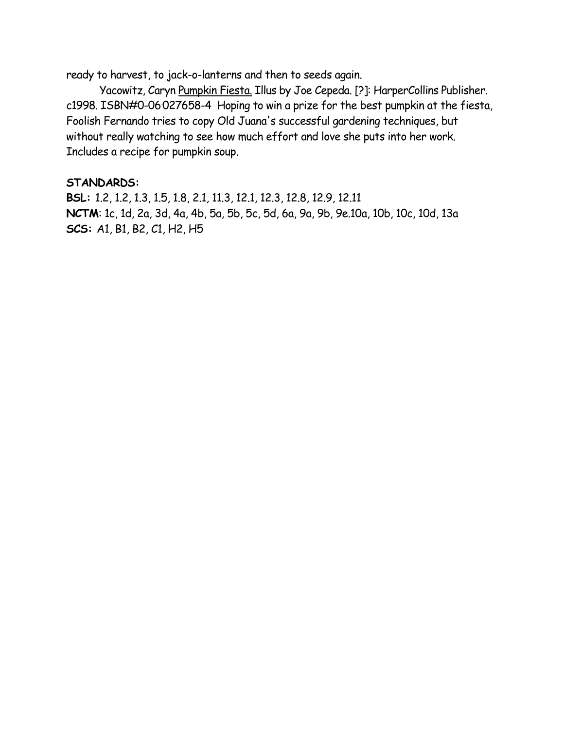ready to harvest, to jack-o-lanterns and then to seeds again.

Yacowitz, Caryn Pumpkin Fiesta. Illus by Joe Cepeda. [?]: HarperCollins Publisher. c1998. ISBN#0-06<sup>.</sup>027658-4 Hoping to win a prize for the best pumpkin at the fiesta, Foolish Fernando tries to copy Old Juana's successful gardening techniques, but without really watching to see how much effort and love she puts into her work. Includes a recipe for pumpkin soup.

## **STANDARDS:**

**BSL:** 1.2, 1.2, 1.3, 1.5, 1.8, 2.1, 11.3, 12.1, 12.3, 12.8, 12.9, 12.11 **NCTM**: 1c, 1d, 2a, 3d, 4a, 4b, 5a, 5b, 5c, 5d, 6a, 9a, 9b, 9e.10a, 10b, 10c, 10d, 13a **SCS:** A1, B1, B2, C1, H2, H5